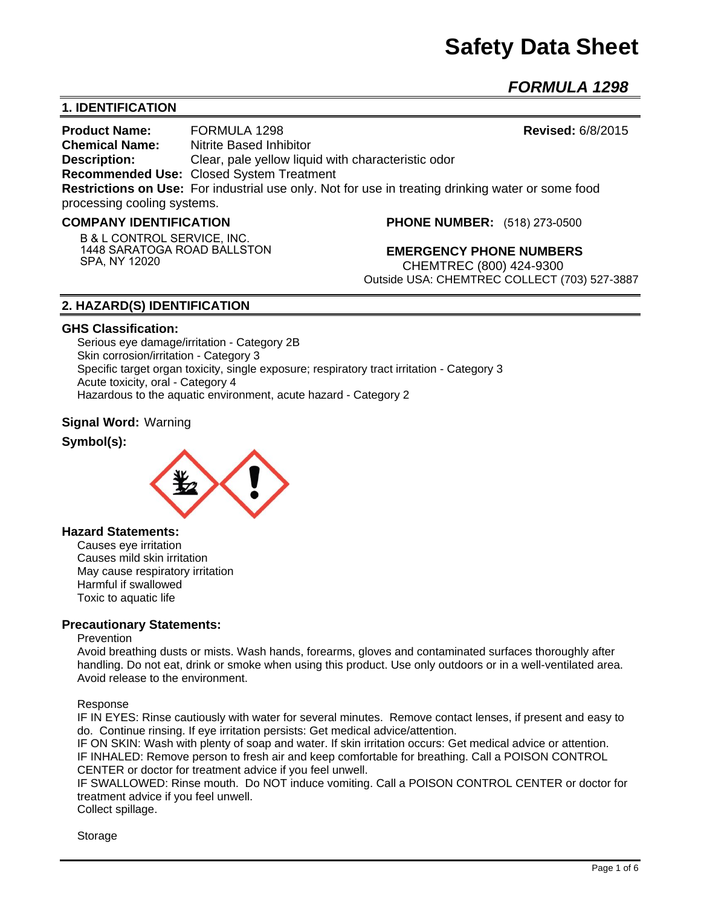# **Safety Data Sheet**

*FORMULA 1298* 

## **1. IDENTIFICATION**

**Product Name:** FORMULA 1298 **Revised:** 6/8/2015 **Chemical Name:** Nitrite Based Inhibitor **Description:** Clear, pale yellow liquid with characteristic odor **Recommended Use:** Closed System Treatment **Restrictions on Use:** For industrial use only. Not for use in treating drinking water or some food processing cooling systems.

#### **COMPANY IDENTIFICATION**

**PHONE NUMBER:** (518) 273-0500

**B & L CONTROL SERVICE, INC. 1448 SARATOGA ROAD BALLSTON SPA, NY 12020**

**EMERGENCY PHONE NUMBERS** CHEMTREC (800) 424-9300 Outside USA: CHEMTREC COLLECT (703) 527-3887

## **2. HAZARD(S) IDENTIFICATION**

#### **GHS Classification:**

Serious eye damage/irritation - Category 2B Skin corrosion/irritation - Category 3 Specific target organ toxicity, single exposure; respiratory tract irritation - Category 3 Acute toxicity, oral - Category 4 Hazardous to the aquatic environment, acute hazard - Category 2

#### **Signal Word:** Warning

### **Symbol(s):**



#### **Hazard Statements:**

Causes eye irritation Causes mild skin irritation May cause respiratory irritation Harmful if swallowed Toxic to aquatic life

#### **Precautionary Statements:**

#### **Prevention**

Avoid breathing dusts or mists. Wash hands, forearms, gloves and contaminated surfaces thoroughly after handling. Do not eat, drink or smoke when using this product. Use only outdoors or in a well-ventilated area. Avoid release to the environment.

#### Response

IF IN EYES: Rinse cautiously with water for several minutes. Remove contact lenses, if present and easy to do. Continue rinsing. If eye irritation persists: Get medical advice/attention.

IF ON SKIN: Wash with plenty of soap and water. If skin irritation occurs: Get medical advice or attention. IF INHALED: Remove person to fresh air and keep comfortable for breathing. Call a POISON CONTROL CENTER or doctor for treatment advice if you feel unwell.

IF SWALLOWED: Rinse mouth. Do NOT induce vomiting. Call a POISON CONTROL CENTER or doctor for treatment advice if you feel unwell.

Collect spillage.

Storage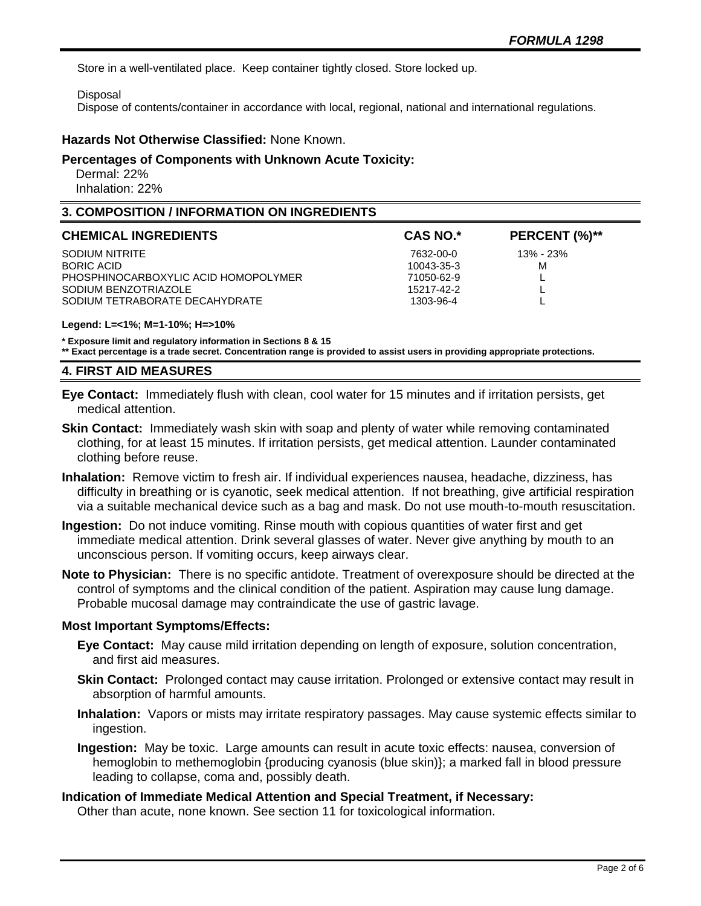Store in a well-ventilated place. Keep container tightly closed. Store locked up.

Disposal

Dispose of contents/container in accordance with local, regional, national and international regulations.

## **Hazards Not Otherwise Classified:** None Known.

#### **Percentages of Components with Unknown Acute Toxicity:**

 Dermal: 22% Inhalation: 22%

## **3. COMPOSITION / INFORMATION ON INGREDIENTS**

| <b>CHEMICAL INGREDIENTS</b>          | <b>CAS NO.*</b> | PERCENT (%)** |
|--------------------------------------|-----------------|---------------|
| SODIUM NITRITE                       | 7632-00-0       | 13% - 23%     |
| BORIC ACID                           | 10043-35-3      | м             |
| PHOSPHINOCARBOXYLIC ACID HOMOPOLYMER | 71050-62-9      |               |
| SODIUM BENZOTRIAZOLE                 | 15217-42-2      |               |
| SODIUM TETRABORATE DECAHYDRATE       | 1303-96-4       |               |

#### **Legend: L=<1%; M=1-10%; H=>10%**

**\* Exposure limit and regulatory information in Sections 8 & 15**

**\*\* Exact percentage is a trade secret. Concentration range is provided to assist users in providing appropriate protections.**

#### **4. FIRST AID MEASURES**

**Eye Contact:** Immediately flush with clean, cool water for 15 minutes and if irritation persists, get medical attention.

- **Skin Contact:** Immediately wash skin with soap and plenty of water while removing contaminated clothing, for at least 15 minutes. If irritation persists, get medical attention. Launder contaminated clothing before reuse.
- **Inhalation:** Remove victim to fresh air. If individual experiences nausea, headache, dizziness, has difficulty in breathing or is cyanotic, seek medical attention. If not breathing, give artificial respiration via a suitable mechanical device such as a bag and mask. Do not use mouth-to-mouth resuscitation.
- **Ingestion:** Do not induce vomiting. Rinse mouth with copious quantities of water first and get immediate medical attention. Drink several glasses of water. Never give anything by mouth to an unconscious person. If vomiting occurs, keep airways clear.
- **Note to Physician:** There is no specific antidote. Treatment of overexposure should be directed at the control of symptoms and the clinical condition of the patient. Aspiration may cause lung damage. Probable mucosal damage may contraindicate the use of gastric lavage.

## **Most Important Symptoms/Effects:**

- **Eye Contact:** May cause mild irritation depending on length of exposure, solution concentration, and first aid measures.
- **Skin Contact:** Prolonged contact may cause irritation. Prolonged or extensive contact may result in absorption of harmful amounts.
- **Inhalation:** Vapors or mists may irritate respiratory passages. May cause systemic effects similar to ingestion.
- **Ingestion:** May be toxic. Large amounts can result in acute toxic effects: nausea, conversion of hemoglobin to methemoglobin {producing cyanosis (blue skin)}; a marked fall in blood pressure leading to collapse, coma and, possibly death.

## **Indication of Immediate Medical Attention and Special Treatment, if Necessary:**

Other than acute, none known. See section 11 for toxicological information.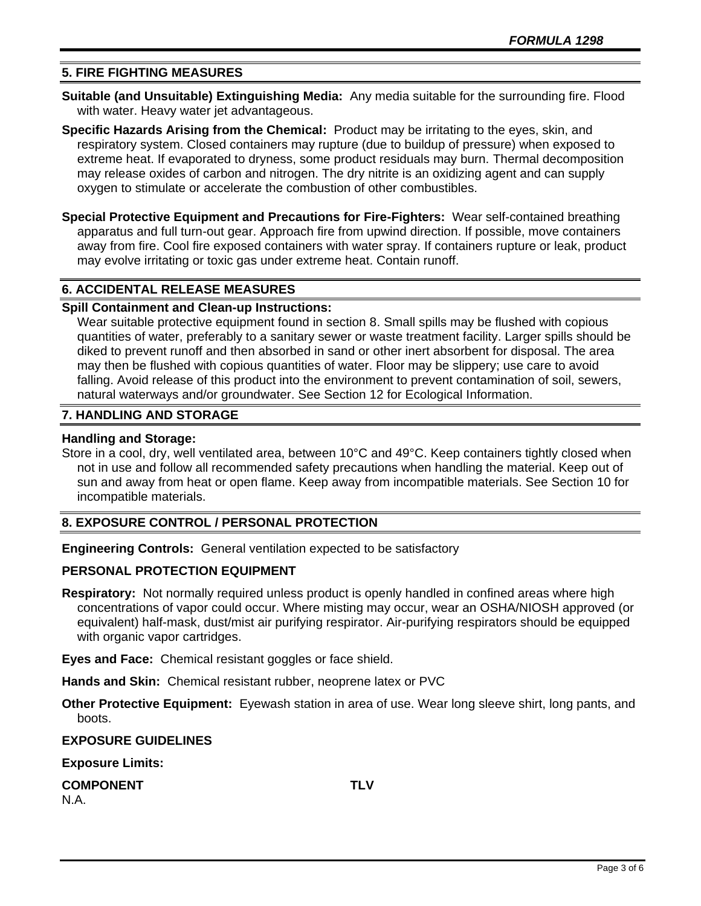## **5. FIRE FIGHTING MEASURES**

- **Suitable (and Unsuitable) Extinguishing Media:** Any media suitable for the surrounding fire. Flood with water. Heavy water jet advantageous.
- **Specific Hazards Arising from the Chemical:** Product may be irritating to the eyes, skin, and respiratory system. Closed containers may rupture (due to buildup of pressure) when exposed to extreme heat. If evaporated to dryness, some product residuals may burn. Thermal decomposition may release oxides of carbon and nitrogen. The dry nitrite is an oxidizing agent and can supply oxygen to stimulate or accelerate the combustion of other combustibles.
- **Special Protective Equipment and Precautions for Fire-Fighters:** Wear self-contained breathing apparatus and full turn-out gear. Approach fire from upwind direction. If possible, move containers away from fire. Cool fire exposed containers with water spray. If containers rupture or leak, product may evolve irritating or toxic gas under extreme heat. Contain runoff.

## **6. ACCIDENTAL RELEASE MEASURES**

#### **Spill Containment and Clean-up Instructions:**

Wear suitable protective equipment found in section 8. Small spills may be flushed with copious quantities of water, preferably to a sanitary sewer or waste treatment facility. Larger spills should be diked to prevent runoff and then absorbed in sand or other inert absorbent for disposal. The area may then be flushed with copious quantities of water. Floor may be slippery; use care to avoid falling. Avoid release of this product into the environment to prevent contamination of soil, sewers, natural waterways and/or groundwater. See Section 12 for Ecological Information.

## **7. HANDLING AND STORAGE**

#### **Handling and Storage:**

Store in a cool, dry, well ventilated area, between 10°C and 49°C. Keep containers tightly closed when not in use and follow all recommended safety precautions when handling the material. Keep out of sun and away from heat or open flame. Keep away from incompatible materials. See Section 10 for incompatible materials.

## **8. EXPOSURE CONTROL / PERSONAL PROTECTION**

**Engineering Controls:** General ventilation expected to be satisfactory

#### **PERSONAL PROTECTION EQUIPMENT**

**Respiratory:** Not normally required unless product is openly handled in confined areas where high concentrations of vapor could occur. Where misting may occur, wear an OSHA/NIOSH approved (or equivalent) half-mask, dust/mist air purifying respirator. Air-purifying respirators should be equipped with organic vapor cartridges.

**Eyes and Face:** Chemical resistant goggles or face shield.

**Hands and Skin:** Chemical resistant rubber, neoprene latex or PVC

**Other Protective Equipment:** Eyewash station in area of use. Wear long sleeve shirt, long pants, and boots.

#### **EXPOSURE GUIDELINES**

**Exposure Limits:** 

**COMPONENT TLV** N.A.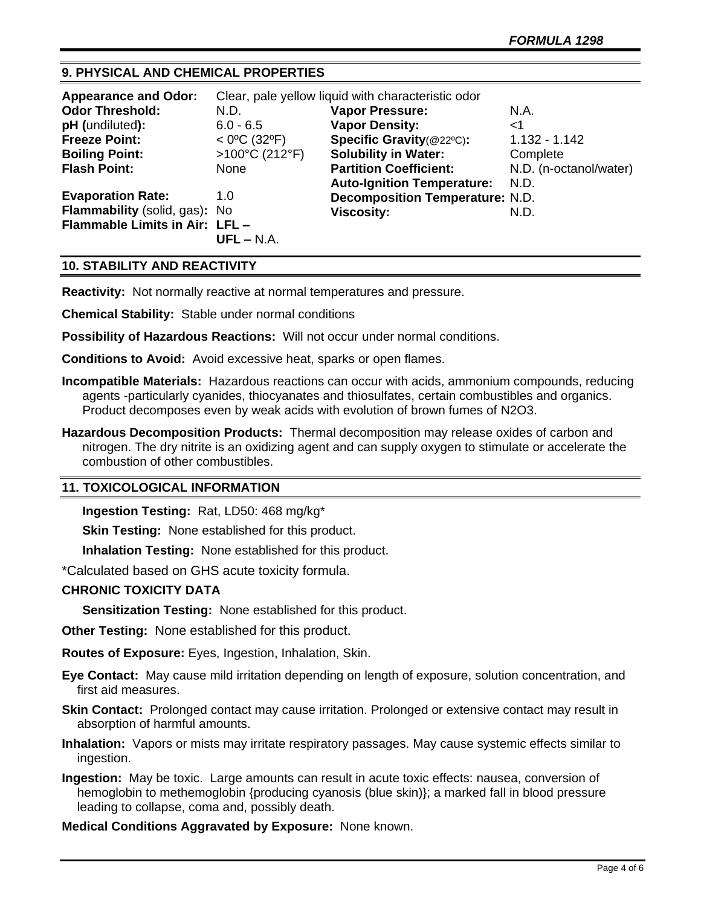## **9. PHYSICAL AND CHEMICAL PROPERTIES**

| <b>Appearance and Odor:</b>    | Clear, pale yellow liquid with characteristic odor |                                        |                        |
|--------------------------------|----------------------------------------------------|----------------------------------------|------------------------|
| <b>Odor Threshold:</b>         | N.D.                                               | <b>Vapor Pressure:</b>                 | N.A.                   |
| pH (undiluted):                | $6.0 - 6.5$                                        | <b>Vapor Density:</b>                  | $<$ 1                  |
| <b>Freeze Point:</b>           | $<$ 0°C (32°F)                                     | Specific Gravity(@22°C):               | $1.132 - 1.142$        |
| <b>Boiling Point:</b>          | $>100^{\circ}$ C (212°F)                           | <b>Solubility in Water:</b>            | Complete               |
| <b>Flash Point:</b>            | None                                               | <b>Partition Coefficient:</b>          | N.D. (n-octanol/water) |
|                                |                                                    | <b>Auto-Ignition Temperature:</b>      | N.D.                   |
| <b>Evaporation Rate:</b>       | 1.0                                                | <b>Decomposition Temperature: N.D.</b> |                        |
| Flammability (solid, gas): No  |                                                    | <b>Viscosity:</b>                      | N.D.                   |
| Flammable Limits in Air: LFL - |                                                    |                                        |                        |
|                                | $UFL - N.A.$                                       |                                        |                        |

## **10. STABILITY AND REACTIVITY**

**Reactivity:** Not normally reactive at normal temperatures and pressure.

**Chemical Stability:** Stable under normal conditions

**Possibility of Hazardous Reactions:** Will not occur under normal conditions.

**Conditions to Avoid:** Avoid excessive heat, sparks or open flames.

- **Incompatible Materials:** Hazardous reactions can occur with acids, ammonium compounds, reducing agents -particularly cyanides, thiocyanates and thiosulfates, certain combustibles and organics. Product decomposes even by weak acids with evolution of brown fumes of N2O3.
- **Hazardous Decomposition Products:** Thermal decomposition may release oxides of carbon and nitrogen. The dry nitrite is an oxidizing agent and can supply oxygen to stimulate or accelerate the combustion of other combustibles.

## **11. TOXICOLOGICAL INFORMATION**

**Ingestion Testing:** Rat, LD50: 468 mg/kg\*

**Skin Testing:** None established for this product.

**Inhalation Testing:** None established for this product.

\*Calculated based on GHS acute toxicity formula.

## **CHRONIC TOXICITY DATA**

**Sensitization Testing:** None established for this product.

**Other Testing:** None established for this product.

**Routes of Exposure:** Eyes, Ingestion, Inhalation, Skin.

**Eye Contact:** May cause mild irritation depending on length of exposure, solution concentration, and first aid measures.

**Skin Contact:** Prolonged contact may cause irritation. Prolonged or extensive contact may result in absorption of harmful amounts.

- **Inhalation:** Vapors or mists may irritate respiratory passages. May cause systemic effects similar to ingestion.
- **Ingestion:** May be toxic. Large amounts can result in acute toxic effects: nausea, conversion of hemoglobin to methemoglobin {producing cyanosis (blue skin)}; a marked fall in blood pressure leading to collapse, coma and, possibly death.

**Medical Conditions Aggravated by Exposure:** None known.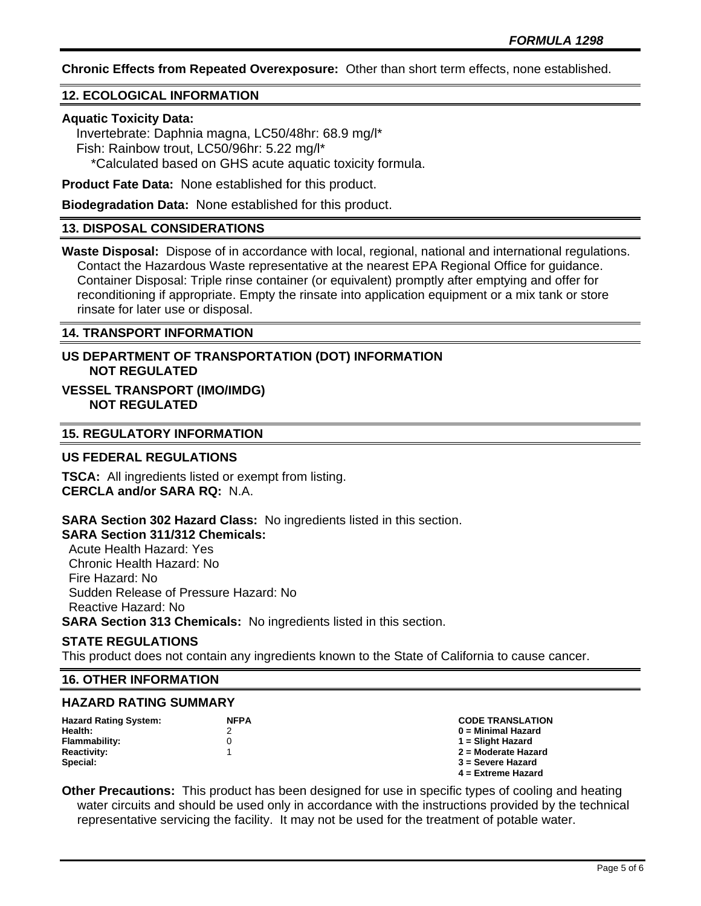**Chronic Effects from Repeated Overexposure:** Other than short term effects, none established.

## **12. ECOLOGICAL INFORMATION**

## **Aquatic Toxicity Data:**

 Invertebrate: Daphnia magna, LC50/48hr: 68.9 mg/l\* Fish: Rainbow trout, LC50/96hr: 5.22 mg/l\* \*Calculated based on GHS acute aquatic toxicity formula.

**Product Fate Data:** None established for this product.

**Biodegradation Data:** None established for this product.

## **13. DISPOSAL CONSIDERATIONS**

**Waste Disposal:** Dispose of in accordance with local, regional, national and international regulations. Contact the Hazardous Waste representative at the nearest EPA Regional Office for guidance. Container Disposal: Triple rinse container (or equivalent) promptly after emptying and offer for reconditioning if appropriate. Empty the rinsate into application equipment or a mix tank or store rinsate for later use or disposal.

#### **14. TRANSPORT INFORMATION**

## **US DEPARTMENT OF TRANSPORTATION (DOT) INFORMATION NOT REGULATED**

## **VESSEL TRANSPORT (IMO/IMDG) NOT REGULATED**

## **15. REGULATORY INFORMATION**

## **US FEDERAL REGULATIONS**

**TSCA:** All ingredients listed or exempt from listing. **CERCLA and/or SARA RQ:** N.A.

**SARA Section 302 Hazard Class:** No ingredients listed in this section.

## **SARA Section 311/312 Chemicals:**

 Acute Health Hazard: Yes Chronic Health Hazard: No Fire Hazard: No Sudden Release of Pressure Hazard: No Reactive Hazard: No

**SARA Section 313 Chemicals:** No ingredients listed in this section.

## **STATE REGULATIONS**

This product does not contain any ingredients known to the State of California to cause cancer.

#### **16. OTHER INFORMATION**

#### **HAZARD RATING SUMMARY**

| <b>Hazard Rating System:</b> | <b>NFPA</b> | <b>CODE TRANSLATION</b> |
|------------------------------|-------------|-------------------------|
| Health:                      |             | $0 =$ Minimal Hazard    |
| Flammability:                |             | 1 = Slight Hazard       |
| <b>Reactivity:</b>           |             | 2 = Moderate Hazard     |
| Special:                     |             | 3 = Severe Hazard       |
|                              |             | $4 =$ Extreme Hazard    |

**Other Precautions:** This product has been designed for use in specific types of cooling and heating water circuits and should be used only in accordance with the instructions provided by the technical representative servicing the facility. It may not be used for the treatment of potable water.